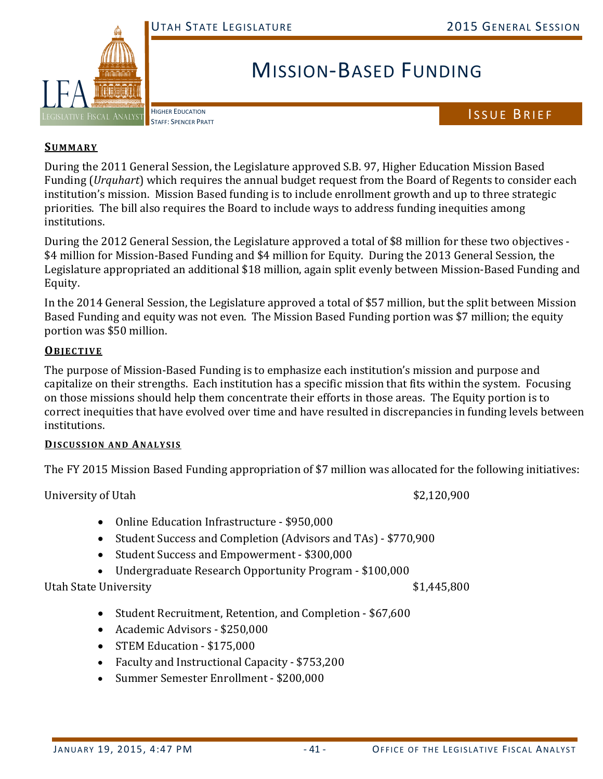

# MISSION‐BASED FUNDING

HIGHER EDUCATION

## HIGHER EDUCATION<br>STAFF: SPENCER PRATT

#### **SUMMARY**

During the 2011 General Session, the Legislature approved S.B. 97, Higher Education Mission Based Funding (*Urquhart*) which requires the annual budget request from the Board of Regents to consider each institution's mission. Mission Based funding is to include enrollment growth and up to three strategic priorities. The bill also requires the Board to include ways to address funding inequities among institutions. 

During the 2012 General Session, the Legislature approved a total of \$8 million for these two objectives -\$4 million for Mission-Based Funding and \$4 million for Equity. During the 2013 General Session, the Legislature appropriated an additional \$18 million, again split evenly between Mission-Based Funding and Equity. 

In the 2014 General Session, the Legislature approved a total of \$57 million, but the split between Mission Based Funding and equity was not even. The Mission Based Funding portion was \$7 million; the equity portion was \$50 million.

#### **OBJECTIVE**

The purpose of Mission-Based Funding is to emphasize each institution's mission and purpose and capitalize on their strengths. Each institution has a specific mission that fits within the system. Focusing on those missions should help them concentrate their efforts in those areas. The Equity portion is to correct inequities that have evolved over time and have resulted in discrepancies in funding levels between institutions. 

#### **DISCUSSION AND ANALYSIS**

The FY 2015 Mission Based Funding appropriation of \$7 million was allocated for the following initiatives:

University of Utah  $$2,120,900$ 

- Online Education Infrastructure \$950,000
- Student Success and Completion (Advisors and TAs) \$770,900
- Student Success and Empowerment \$300,000
- Undergraduate Research Opportunity Program \$100,000

Utah State University **Example 2018** State Only and State Only and State of the State of the State of the State of the State of the State of the State of the State of the State of the State of the State of the State of the

- Student Recruitment, Retention, and Completion \$67,600
- Academic Advisors \$250,000
- STEM Education \$175,000
- Faculty and Instructional Capacity \$753,200
- Summer Semester Enrollment \$200,000